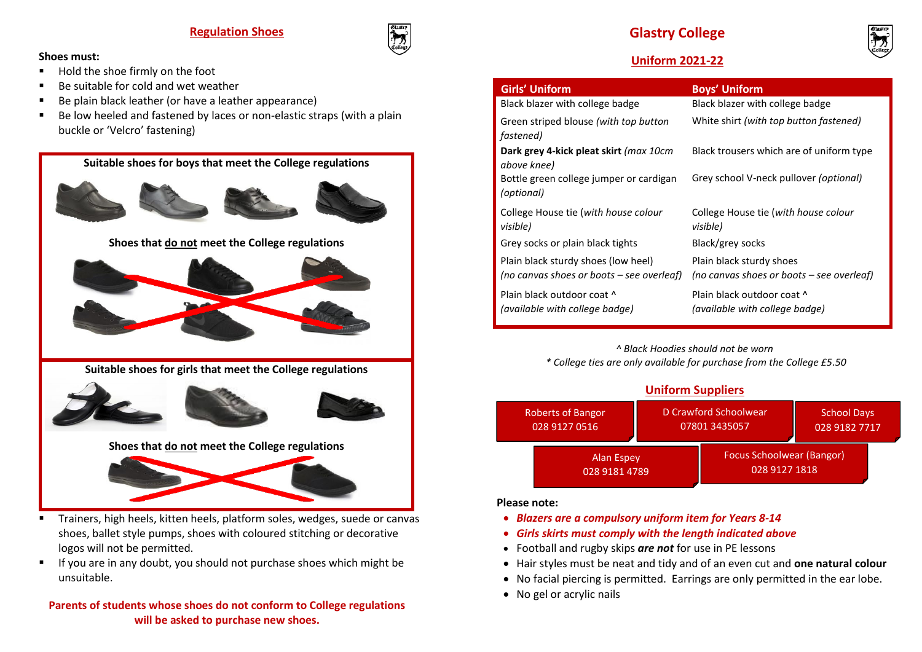**Regulation Shoes**

#### **Shoes must:**

- Hold the shoe firmly on the foot
- $\blacksquare$  Be suitable for cold and wet weather
- Be plain black leather (or have a leather appearance)
- Be low heeled and fastened by laces or non-elastic straps (with a plain buckle or 'Velcro' fastening)



- Trainers, high heels, kitten heels, platform soles, wedges, suede or canvas shoes, ballet style pumps, shoes with coloured stitching or decorative logos will not be permitted.
- If you are in any doubt, you should not purchase shoes which might be unsuitable.

## **Parents of students whose shoes do not conform to College regulations will be asked to purchase new shoes.**

## **Glastry College**



## **Uniform 2021-22**

| <b>Girls' Uniform</b>                                                            | <b>Boys' Uniform</b>                                                  |
|----------------------------------------------------------------------------------|-----------------------------------------------------------------------|
| Black blazer with college badge                                                  | Black blazer with college badge                                       |
| Green striped blouse (with top button<br>fastened)                               | White shirt (with top button fastened)                                |
| Dark grey 4-kick pleat skirt (max 10cm<br>above knee)                            | Black trousers which are of uniform type                              |
| Bottle green college jumper or cardigan<br>(optional)                            | Grey school V-neck pullover <i>(optional)</i>                         |
| College House tie (with house colour<br>visible)                                 | College House tie (with house colour<br>visible)                      |
| Grey socks or plain black tights                                                 | Black/grey socks                                                      |
| Plain black sturdy shoes (low heel)<br>(no canvas shoes or boots – see overleaf) | Plain black sturdy shoes<br>(no canvas shoes or boots – see overleaf) |
| Plain black outdoor coat ^<br>(available with college badge)                     | Plain black outdoor coat ^<br>(available with college badge)          |

*^ Black Hoodies should not be worn* 

*\* College ties are only available for purchase from the College £5.50*

## **Uniform Suppliers**



#### **Please note:**

- *Blazers are a compulsory uniform item for Years 8-14*
- *Girls skirts must comply with the length indicated above*
- Football and rugby skips *are not* for use in PE lessons
- Hair styles must be neat and tidy and of an even cut and **one natural colour**
- No facial piercing is permitted. Earrings are only permitted in the ear lobe.
- No gel or acrylic nails